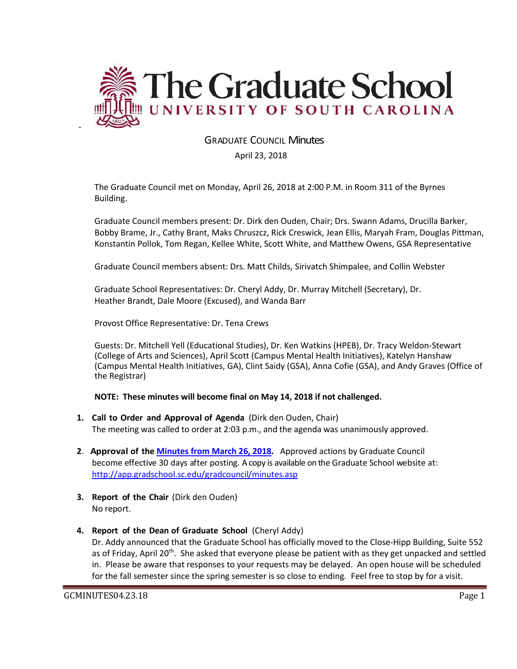

# GRADUATE COUNCIL Minutes

### April 23, 2018

The Graduate Council met on Monday, April 26, 2018 at 2:00 P.M. in Room 311 of the Byrnes Building.

Graduate Council members present: Dr. Dirk den Ouden, Chair; Drs. Swann Adams, Drucilla Barker, Bobby Brame, Jr., Cathy Brant, Maks Chruszcz, Rick Creswick, Jean Ellis, Maryah Fram, Douglas Pittman, Konstantin Pollok, Tom Regan, Kellee White, Scott White, and Matthew Owens, GSA Representative

Graduate Council members absent: Drs. Matt Childs, Sirivatch Shimpalee, and Collin Webster

Graduate School Representatives: Dr. Cheryl Addy, Dr. Murray Mitchell (Secretary), Dr. Heather Brandt, Dale Moore (Excused), and Wanda Barr

Provost Office Representative: Dr. Tena Crews

Guests: Dr. Mitchell Yell (Educational Studies), Dr. Ken Watkins (HPEB), Dr. Tracy Weldon-Stewart (College of Arts and Sciences), April Scott (Campus Mental Health Initiatives), Katelyn Hanshaw (Campus Mental Health Initiatives, GA), Clint Saidy (GSA), Anna Cofie (GSA), and Andy Graves (Office of the Registrar)

#### **NOTE: These minutes will become final on May 14, 2018 if not challenged.**

- **1. Call to Order and Approval of Agenda** (Dirk den Ouden, Chair) The meeting was called to order at 2:03 p.m., and the agenda was unanimously approved.
- **2**. **Approval of the [Minutes from March](file:///C:/Users/wandab/Local%20Documents/Graduate%20Council/GCMIN%203.26.18MM2w4attachments.pdf) 26, 2018.** Approved actions by Graduate Council become effective 30 days after posting. A copy is available on the Graduate School website at: <http://app.gradschool.sc.edu/gradcouncil/minutes.asp>
- **3. Report of the Chair** (Dirk den Ouden) No report.
- **4. Report of the Dean of Graduate School** (Cheryl Addy) Dr. Addy announced that the Graduate School has officially moved to the Close-Hipp Building, Suite 552 as of Friday, April 20<sup>th</sup>. She asked that everyone please be patient with as they get unpacked and settled in. Please be aware that responses to your requests may be delayed. An open house will be scheduled for the fall semester since the spring semester is so close to ending. Feel free to stop by for a visit.

-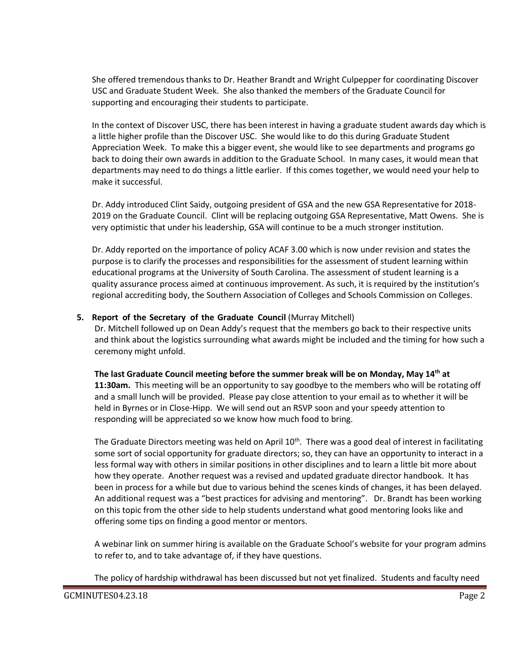She offered tremendous thanks to Dr. Heather Brandt and Wright Culpepper for coordinating Discover USC and Graduate Student Week. She also thanked the members of the Graduate Council for supporting and encouraging their students to participate.

In the context of Discover USC, there has been interest in having a graduate student awards day which is a little higher profile than the Discover USC. She would like to do this during Graduate Student Appreciation Week. To make this a bigger event, she would like to see departments and programs go back to doing their own awards in addition to the Graduate School. In many cases, it would mean that departments may need to do things a little earlier. If this comes together, we would need your help to make it successful.

Dr. Addy introduced Clint Saidy, outgoing president of GSA and the new GSA Representative for 2018- 2019 on the Graduate Council. Clint will be replacing outgoing GSA Representative, Matt Owens. She is very optimistic that under his leadership, GSA will continue to be a much stronger institution.

Dr. Addy reported on the importance of policy ACAF 3.00 which is now under revision and states the purpose is to clarify the processes and responsibilities for the assessment of student learning within educational programs at the University of South Carolina. The assessment of student learning is a quality assurance process aimed at continuous improvement. As such, it is required by the institution's regional accrediting body, the Southern Association of Colleges and Schools Commission on Colleges.

## **5. Report of the Secretary of the Graduate Council** (Murray Mitchell)

Dr. Mitchell followed up on Dean Addy's request that the members go back to their respective units and think about the logistics surrounding what awards might be included and the timing for how such a ceremony might unfold.

**The last Graduate Council meeting before the summer break will be on Monday, May 14th at 11:30am.** This meeting will be an opportunity to say goodbye to the members who will be rotating off and a small lunch will be provided. Please pay close attention to your email as to whether it will be held in Byrnes or in Close-Hipp. We will send out an RSVP soon and your speedy attention to responding will be appreciated so we know how much food to bring.

The Graduate Directors meeting was held on April  $10<sup>th</sup>$ . There was a good deal of interest in facilitating some sort of social opportunity for graduate directors; so, they can have an opportunity to interact in a less formal way with others in similar positions in other disciplines and to learn a little bit more about how they operate. Another request was a revised and updated graduate director handbook. It has been in process for a while but due to various behind the scenes kinds of changes, it has been delayed. An additional request was a "best practices for advising and mentoring". Dr. Brandt has been working on this topic from the other side to help students understand what good mentoring looks like and offering some tips on finding a good mentor or mentors.

A webinar link on summer hiring is available on the Graduate School's website for your program admins to refer to, and to take advantage of, if they have questions.

The policy of hardship withdrawal has been discussed but not yet finalized. Students and faculty need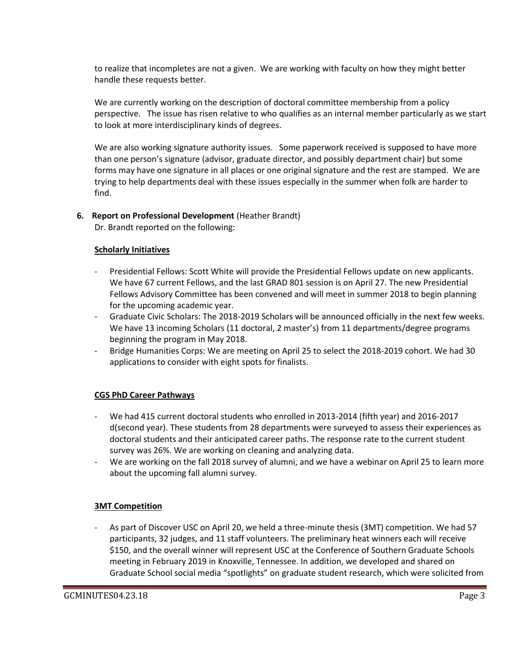to realize that incompletes are not a given. We are working with faculty on how they might better handle these requests better.

We are currently working on the description of doctoral committee membership from a policy perspective. The issue has risen relative to who qualifies as an internal member particularly as we start to look at more interdisciplinary kinds of degrees.

We are also working signature authority issues. Some paperwork received is supposed to have more than one person's signature (advisor, graduate director, and possibly department chair) but some forms may have one signature in all places or one original signature and the rest are stamped. We are trying to help departments deal with these issues especially in the summer when folk are harder to find.

## **6. Report on Professional Development** (Heather Brandt)

Dr. Brandt reported on the following:

#### **Scholarly Initiatives**

- Presidential Fellows: Scott White will provide the Presidential Fellows update on new applicants. We have 67 current Fellows, and the last GRAD 801 session is on April 27. The new Presidential Fellows Advisory Committee has been convened and will meet in summer 2018 to begin planning for the upcoming academic year.
- Graduate Civic Scholars: The 2018-2019 Scholars will be announced officially in the next few weeks. We have 13 incoming Scholars (11 doctoral, 2 master's) from 11 departments/degree programs beginning the program in May 2018.
- Bridge Humanities Corps: We are meeting on April 25 to select the 2018-2019 cohort. We had 30 applications to consider with eight spots for finalists.

## **CGS PhD Career Pathways**

- We had 415 current doctoral students who enrolled in 2013-2014 (fifth year) and 2016-2017 d(second year). These students from 28 departments were surveyed to assess their experiences as doctoral students and their anticipated career paths. The response rate to the current student survey was 26%. We are working on cleaning and analyzing data.
- We are working on the fall 2018 survey of alumni, and we have a webinar on April 25 to learn more about the upcoming fall alumni survey.

## **3MT Competition**

As part of Discover USC on April 20, we held a three-minute thesis (3MT) competition. We had 57 participants, 32 judges, and 11 staff volunteers. The preliminary heat winners each will receive \$150, and the overall winner will represent USC at the Conference of Southern Graduate Schools meeting in February 2019 in Knoxville, Tennessee. In addition, we developed and shared on Graduate School social media "spotlights" on graduate student research, which were solicited from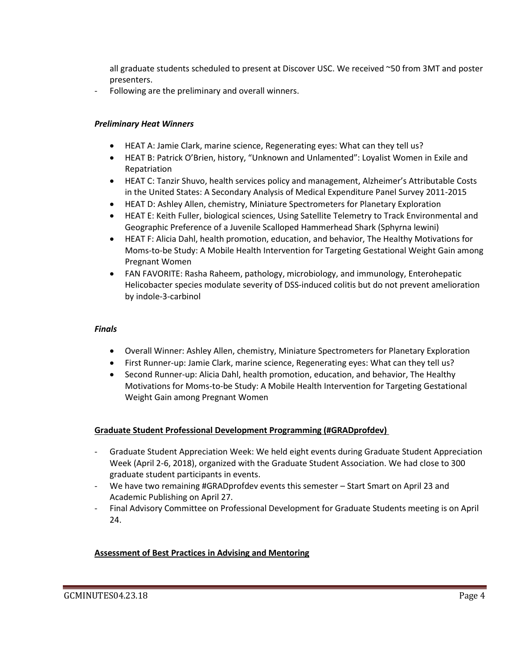all graduate students scheduled to present at Discover USC. We received ~50 from 3MT and poster presenters.

Following are the preliminary and overall winners.

### *Preliminary Heat Winners*

- HEAT A: Jamie Clark, marine science, Regenerating eyes: What can they tell us?
- HEAT B: Patrick O'Brien, history, "Unknown and Unlamented": Loyalist Women in Exile and Repatriation
- HEAT C: Tanzir Shuvo, health services policy and management, Alzheimer's Attributable Costs in the United States: A Secondary Analysis of Medical Expenditure Panel Survey 2011-2015
- HEAT D: Ashley Allen, chemistry, Miniature Spectrometers for Planetary Exploration
- HEAT E: Keith Fuller, biological sciences, Using Satellite Telemetry to Track Environmental and Geographic Preference of a Juvenile Scalloped Hammerhead Shark (Sphyrna lewini)
- HEAT F: Alicia Dahl, health promotion, education, and behavior, The Healthy Motivations for Moms-to-be Study: A Mobile Health Intervention for Targeting Gestational Weight Gain among Pregnant Women
- FAN FAVORITE: Rasha Raheem, pathology, microbiology, and immunology, Enterohepatic Helicobacter species modulate severity of DSS-induced colitis but do not prevent amelioration by indole-3-carbinol

#### *Finals*

- Overall Winner: Ashley Allen, chemistry, Miniature Spectrometers for Planetary Exploration
- First Runner-up: Jamie Clark, marine science, Regenerating eyes: What can they tell us?
- Second Runner-up: Alicia Dahl, health promotion, education, and behavior, The Healthy Motivations for Moms-to-be Study: A Mobile Health Intervention for Targeting Gestational Weight Gain among Pregnant Women

## **Graduate Student Professional Development Programming (#GRADprofdev)**

- Graduate Student Appreciation Week: We held eight events during Graduate Student Appreciation Week (April 2-6, 2018), organized with the Graduate Student Association. We had close to 300 graduate student participants in events.
- We have two remaining #GRADprofdev events this semester Start Smart on April 23 and Academic Publishing on April 27.
- Final Advisory Committee on Professional Development for Graduate Students meeting is on April 24.

## **Assessment of Best Practices in Advising and Mentoring**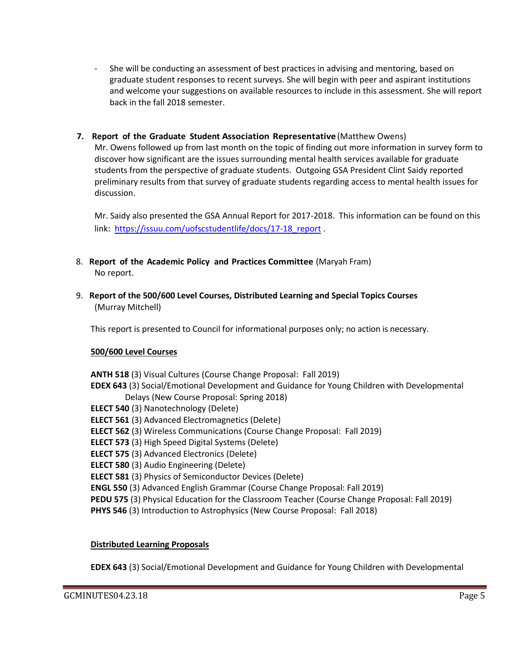- She will be conducting an assessment of best practices in advising and mentoring, based on graduate student responses to recent surveys. She will begin with peer and aspirant institutions and welcome your suggestions on available resources to include in this assessment. She will report back in the fall 2018 semester.
- **7. Report of the Graduate Student Association Representative** (Matthew Owens)

Mr. Owens followed up from last month on the topic of finding out more information in survey form to discover how significant are the issues surrounding mental health services available for graduate students from the perspective of graduate students. Outgoing GSA President Clint Saidy reported preliminary results from that survey of graduate students regarding access to mental health issues for discussion.

Mr. Saidy also presented the GSA Annual Report for 2017-2018. This information can be found on this link: https://issuu.com/uofscstudentlife/docs/17-18 report .

- 8. **Report of the Academic Policy and Practices Committee** (Maryah Fram) No report.
- 9. **Report of the 500/600 Level Courses, Distributed Learning and Special Topics Courses** (Murray Mitchell)

This report is presented to Council for informational purposes only; no action is necessary.

#### **500/600 Level Courses**

**ANTH 518** (3) Visual Cultures (Course Change Proposal: Fall 2019) **EDEX 643** (3) Social/Emotional Development and Guidance for Young Children with Developmental Delays (New Course Proposal: Spring 2018) **ELECT 540** (3) Nanotechnology (Delete) **ELECT 561** (3) Advanced Electromagnetics (Delete) **ELECT 562** (3) Wireless Communications (Course Change Proposal: Fall 2019) **ELECT 573** (3) High Speed Digital Systems (Delete) **ELECT 575** (3) Advanced Electronics (Delete) **ELECT 580** (3) Audio Engineering (Delete) **ELECT 581** (3) Physics of Semiconductor Devices (Delete) **ENGL 550** (3) Advanced English Grammar (Course Change Proposal: Fall 2019) **PEDU 575** (3) Physical Education for the Classroom Teacher (Course Change Proposal: Fall 2019) **PHYS 546** (3) Introduction to Astrophysics (New Course Proposal: Fall 2018)

#### **Distributed Learning Proposals**

**EDEX 643** (3) Social/Emotional Development and Guidance for Young Children with Developmental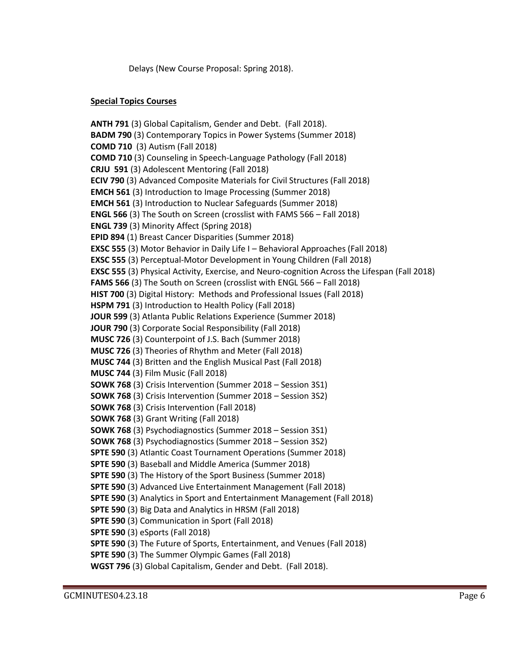Delays (New Course Proposal: Spring 2018).

## **Special Topics Courses**

**ANTH 791** (3) Global Capitalism, Gender and Debt. (Fall 2018). **BADM 790** (3) Contemporary Topics in Power Systems (Summer 2018) **COMD 710** (3) Autism (Fall 2018) **COMD 710** (3) Counseling in Speech-Language Pathology (Fall 2018) **CRJU 591** (3) Adolescent Mentoring (Fall 2018) **ECIV 790** (3) Advanced Composite Materials for Civil Structures (Fall 2018) **EMCH 561** (3) Introduction to Image Processing (Summer 2018) **EMCH 561** (3) Introduction to Nuclear Safeguards (Summer 2018) **ENGL 566** (3) The South on Screen (crosslist with FAMS 566 – Fall 2018) **ENGL 739** (3) Minority Affect (Spring 2018) **EPID 894** (1) Breast Cancer Disparities (Summer 2018) **EXSC 555** (3) Motor Behavior in Daily Life I – Behavioral Approaches (Fall 2018) **EXSC 555** (3) Perceptual-Motor Development in Young Children (Fall 2018) **EXSC 555** (3) Physical Activity, Exercise, and Neuro-cognition Across the Lifespan (Fall 2018) **FAMS 566** (3) The South on Screen (crosslist with ENGL 566 – Fall 2018) **HIST 700** (3) Digital History: Methods and Professional Issues (Fall 2018) **HSPM 791** (3) Introduction to Health Policy (Fall 2018) **JOUR 599** (3) Atlanta Public Relations Experience (Summer 2018) **JOUR 790** (3) Corporate Social Responsibility (Fall 2018) **MUSC 726** (3) Counterpoint of J.S. Bach (Summer 2018) **MUSC 726** (3) Theories of Rhythm and Meter (Fall 2018) **MUSC 744** (3) Britten and the English Musical Past (Fall 2018) **MUSC 744** (3) Film Music (Fall 2018) **SOWK 768** (3) Crisis Intervention (Summer 2018 – Session 3S1) **SOWK 768** (3) Crisis Intervention (Summer 2018 – Session 3S2) **SOWK 768** (3) Crisis Intervention (Fall 2018) **SOWK 768** (3) Grant Writing (Fall 2018) **SOWK 768** (3) Psychodiagnostics (Summer 2018 – Session 3S1) **SOWK 768** (3) Psychodiagnostics (Summer 2018 – Session 3S2) **SPTE 590** (3) Atlantic Coast Tournament Operations (Summer 2018) **SPTE 590** (3) Baseball and Middle America (Summer 2018) **SPTE 590** (3) The History of the Sport Business (Summer 2018) **SPTE 590** (3) Advanced Live Entertainment Management (Fall 2018) **SPTE 590** (3) Analytics in Sport and Entertainment Management (Fall 2018) **SPTE 590** (3) Big Data and Analytics in HRSM (Fall 2018) **SPTE 590** (3) Communication in Sport (Fall 2018) **SPTE 590** (3) eSports (Fall 2018) **SPTE 590** (3) The Future of Sports, Entertainment, and Venues (Fall 2018) **SPTE 590** (3) The Summer Olympic Games (Fall 2018) **WGST 796** (3) Global Capitalism, Gender and Debt. (Fall 2018).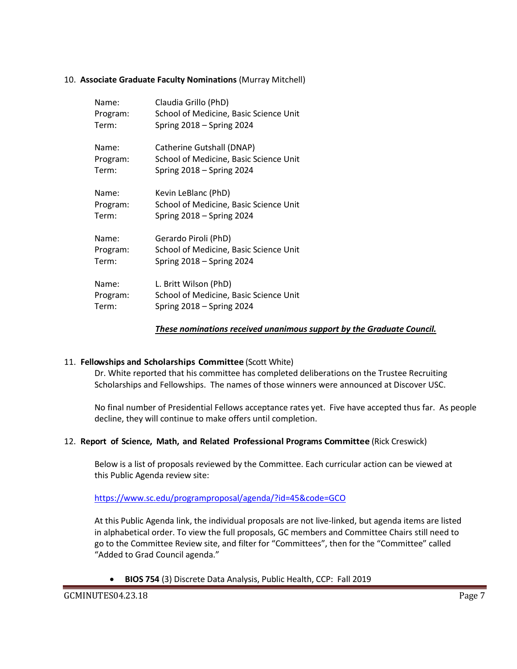### 10. **Associate Graduate Faculty Nominations** (Murray Mitchell)

| Name:    | Claudia Grillo (PhD)                   |
|----------|----------------------------------------|
| Program: | School of Medicine, Basic Science Unit |
| Term:    | Spring $2018 -$ Spring 2024            |
| Name:    | Catherine Gutshall (DNAP)              |
| Program: | School of Medicine, Basic Science Unit |
| Term:    | Spring $2018 -$ Spring 2024            |
| Name:    | Kevin LeBlanc (PhD)                    |
| Program: | School of Medicine, Basic Science Unit |
| Term:    | Spring $2018 -$ Spring 2024            |
| Name:    | Gerardo Piroli (PhD)                   |
| Program: | School of Medicine, Basic Science Unit |
| Term:    | Spring $2018 -$ Spring 2024            |
| Name:    | L. Britt Wilson (PhD)                  |
| Program: | School of Medicine, Basic Science Unit |
| Term:    | Spring $2018 -$ Spring 2024            |

#### *These nominations received unanimous support by the Graduate Council.*

#### 11. **Fellowships and Scholarships Committee** (Scott White)

Dr. White reported that his committee has completed deliberations on the Trustee Recruiting Scholarships and Fellowships. The names of those winners were announced at Discover USC.

No final number of Presidential Fellows acceptance rates yet. Five have accepted thus far. As people decline, they will continue to make offers until completion.

#### 12. **Report of Science, Math, and Related Professional Programs Committee** (Rick Creswick)

Below is a list of proposals reviewed by the Committee. Each curricular action can be viewed at this Public Agenda review site:

#### <https://www.sc.edu/programproposal/agenda/?id=45&code=GCO>

At this Public Agenda link, the individual proposals are not live-linked, but agenda items are listed in alphabetical order. To view the full proposals, GC members and Committee Chairs still need to go to the Committee Review site, and filter for "Committees", then for the "Committee" called "Added to Grad Council agenda."

• **BIOS 754** (3) Discrete Data Analysis, Public Health, CCP: Fall 2019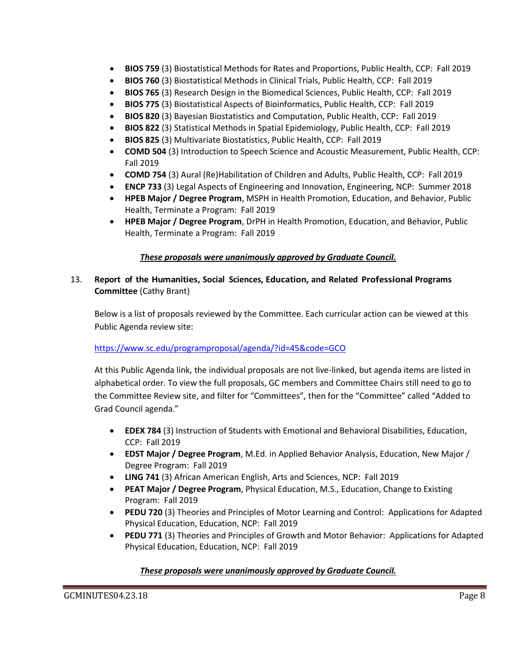- **BIOS 759** (3) Biostatistical Methods for Rates and Proportions, Public Health, CCP: Fall 2019
- **BIOS 760** (3) Biostatistical Methods in Clinical Trials, Public Health, CCP: Fall 2019
- **BIOS 765** (3) Research Design in the Biomedical Sciences, Public Health, CCP: Fall 2019
- **BIOS 775** (3) Biostatistical Aspects of Bioinformatics, Public Health, CCP: Fall 2019
- **BIOS 820** (3) Bayesian Biostatistics and Computation, Public Health, CCP: Fall 2019
- **BIOS 822** (3) Statistical Methods in Spatial Epidemiology, Public Health, CCP: Fall 2019
- **BIOS 825** (3) Multivariate Biostatistics, Public Health, CCP: Fall 2019
- **COMD 504** (3) Introduction to Speech Science and Acoustic Measurement, Public Health, CCP: Fall 2019
- **COMD 754** (3) Aural (Re)Habilitation of Children and Adults, Public Health, CCP: Fall 2019
- **ENCP 733** (3) Legal Aspects of Engineering and Innovation, Engineering, NCP: Summer 2018
- **HPEB Major / Degree Program**, MSPH in Health Promotion, Education, and Behavior, Public Health, Terminate a Program: Fall 2019
- **HPEB Major / Degree Program**, DrPH in Health Promotion, Education, and Behavior, Public Health, Terminate a Program: Fall 2019

## *These proposals were unanimously approved by Graduate Council.*

## 13. **Report of the Humanities, Social Sciences, Education, and Related Professional Programs Committee** (Cathy Brant)

Below is a list of proposals reviewed by the Committee. Each curricular action can be viewed at this Public Agenda review site:

## <https://www.sc.edu/programproposal/agenda/?id=45&code=GCO>

At this Public Agenda link, the individual proposals are not live-linked, but agenda items are listed in alphabetical order. To view the full proposals, GC members and Committee Chairs still need to go to the Committee Review site, and filter for "Committees", then for the "Committee" called "Added to Grad Council agenda."

- **EDEX 784** (3) Instruction of Students with Emotional and Behavioral Disabilities, Education, CCP: Fall 2019
- **EDST Major / Degree Program**, M.Ed. in Applied Behavior Analysis, Education, New Major / Degree Program: Fall 2019
- **LING 741** (3) African American English, Arts and Sciences, NCP: Fall 2019
- **PEAT Major / Degree Program**, Physical Education, M.S., Education, Change to Existing Program: Fall 2019
- **PEDU 720** (3) Theories and Principles of Motor Learning and Control: Applications for Adapted Physical Education, Education, NCP: Fall 2019
- **PEDU 771** (3) Theories and Principles of Growth and Motor Behavior: Applications for Adapted Physical Education, Education, NCP: Fall 2019

## *These proposals were unanimously approved by Graduate Council.*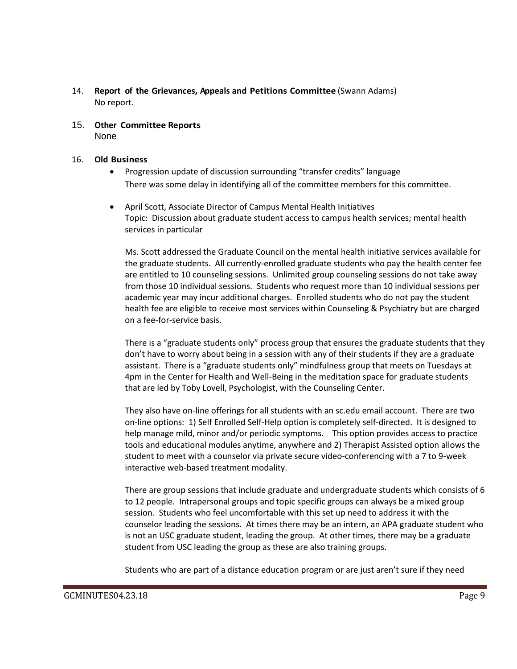- 14. **Report of the Grievances, Appeals and Petitions Committee** (Swann Adams) No report.
- 15. **Other Committee Reports** None

#### 16. **Old Business**

- Progression update of discussion surrounding "transfer credits" language There was some delay in identifying all of the committee members for this committee.
- April Scott, Associate Director of Campus Mental Health Initiatives Topic: Discussion about graduate student access to campus health services; mental health services in particular

Ms. Scott addressed the Graduate Council on the mental health initiative services available for the graduate students. All currently-enrolled graduate students who pay the health center fee are entitled to 10 counseling sessions. Unlimited group counseling sessions do not take away from those 10 individual sessions. Students who request more than 10 individual sessions per academic year may incur additional charges. Enrolled students who do not pay the student health fee are eligible to receive most services within Counseling & Psychiatry but are charged on a fee-for-service basis.

There is a "graduate students only" process group that ensures the graduate students that they don't have to worry about being in a session with any of their students if they are a graduate assistant. There is a "graduate students only" mindfulness group that meets on Tuesdays at 4pm in the Center for Health and Well-Being in the meditation space for graduate students that are led by Toby Lovell, Psychologist, with the Counseling Center.

They also have on-line offerings for all students with an sc.edu email account. There are two on-line options: 1) Self Enrolled Self-Help option is completely self-directed. It is designed to help manage mild, minor and/or periodic symptoms. This option provides access to practice tools and educational modules anytime, anywhere and 2) Therapist Assisted option allows the student to meet with a counselor via private secure video-conferencing with a 7 to 9-week interactive web-based treatment modality.

There are group sessions that include graduate and undergraduate students which consists of 6 to 12 people. Intrapersonal groups and topic specific groups can always be a mixed group session. Students who feel uncomfortable with this set up need to address it with the counselor leading the sessions. At times there may be an intern, an APA graduate student who is not an USC graduate student, leading the group. At other times, there may be a graduate student from USC leading the group as these are also training groups.

Students who are part of a distance education program or are just aren't sure if they need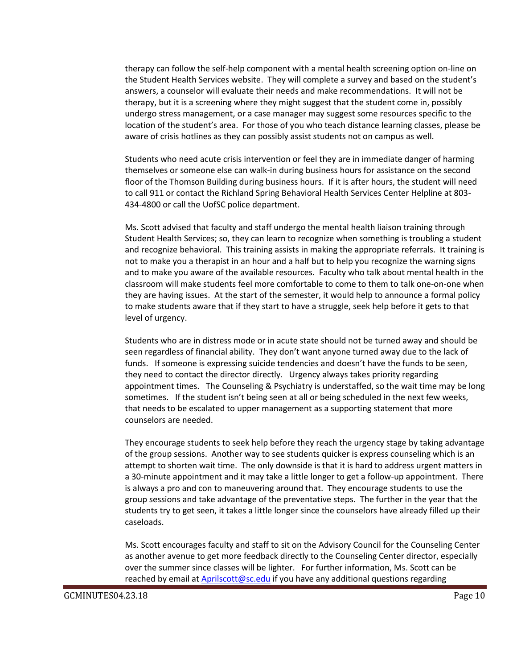therapy can follow the self-help component with a mental health screening option on-line on the Student Health Services website. They will complete a survey and based on the student's answers, a counselor will evaluate their needs and make recommendations. It will not be therapy, but it is a screening where they might suggest that the student come in, possibly undergo stress management, or a case manager may suggest some resources specific to the location of the student's area. For those of you who teach distance learning classes, please be aware of crisis hotlines as they can possibly assist students not on campus as well.

Students who need acute crisis intervention or feel they are in immediate danger of harming themselves or someone else can walk-in during business hours for assistance on the second floor of the Thomson Building during business hours. If it is after hours, the student will need to call 911 or contact the Richland Spring Behavioral Health Services Center Helpline at 803- 434-4800 or call the UofSC police department.

Ms. Scott advised that faculty and staff undergo the mental health liaison training through Student Health Services; so, they can learn to recognize when something is troubling a student and recognize behavioral. This training assists in making the appropriate referrals. It training is not to make you a therapist in an hour and a half but to help you recognize the warning signs and to make you aware of the available resources. Faculty who talk about mental health in the classroom will make students feel more comfortable to come to them to talk one-on-one when they are having issues. At the start of the semester, it would help to announce a formal policy to make students aware that if they start to have a struggle, seek help before it gets to that level of urgency.

Students who are in distress mode or in acute state should not be turned away and should be seen regardless of financial ability. They don't want anyone turned away due to the lack of funds. If someone is expressing suicide tendencies and doesn't have the funds to be seen, they need to contact the director directly. Urgency always takes priority regarding appointment times. The Counseling & Psychiatry is understaffed, so the wait time may be long sometimes. If the student isn't being seen at all or being scheduled in the next few weeks, that needs to be escalated to upper management as a supporting statement that more counselors are needed.

They encourage students to seek help before they reach the urgency stage by taking advantage of the group sessions. Another way to see students quicker is express counseling which is an attempt to shorten wait time. The only downside is that it is hard to address urgent matters in a 30-minute appointment and it may take a little longer to get a follow-up appointment. There is always a pro and con to maneuvering around that. They encourage students to use the group sessions and take advantage of the preventative steps. The further in the year that the students try to get seen, it takes a little longer since the counselors have already filled up their caseloads.

Ms. Scott encourages faculty and staff to sit on the Advisory Council for the Counseling Center as another avenue to get more feedback directly to the Counseling Center director, especially over the summer since classes will be lighter. For further information, Ms. Scott can be reached by email a[t Aprilscott@sc.edu](mailto:Aprilscott@sc.edu) if you have any additional questions regarding